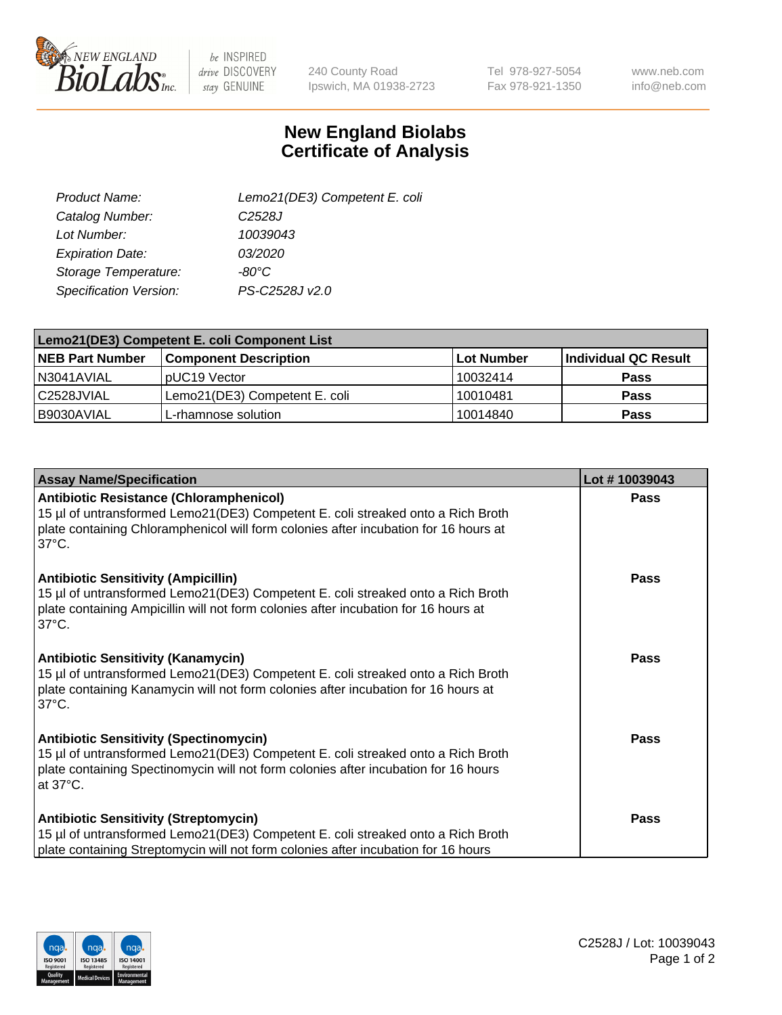

 $be$  INSPIRED drive DISCOVERY stay GENUINE

240 County Road Ipswich, MA 01938-2723 Tel 978-927-5054 Fax 978-921-1350

www.neb.com info@neb.com

## **New England Biolabs Certificate of Analysis**

| Product Name:                 | Lemo21(DE3) Competent E. coli |
|-------------------------------|-------------------------------|
| Catalog Number:               | C <sub>2528</sub> J           |
| Lot Number:                   | 10039043                      |
| <b>Expiration Date:</b>       | 03/2020                       |
| Storage Temperature:          | $-80^{\circ}$ C               |
| <b>Specification Version:</b> | PS-C2528J v2.0                |

| Lemo21(DE3) Competent E. coli Component List |                               |                   |                             |  |
|----------------------------------------------|-------------------------------|-------------------|-----------------------------|--|
| <b>NEB Part Number</b>                       | <b>Component Description</b>  | <b>Lot Number</b> | <b>Individual QC Result</b> |  |
| I N3041AVIAL                                 | IpUC19 Vector                 | 10032414          | Pass                        |  |
| C2528JVIAL                                   | Lemo21(DE3) Competent E. coli | 10010481          | <b>Pass</b>                 |  |
| B9030AVIAL                                   | L-rhamnose solution           | 10014840          | <b>Pass</b>                 |  |

| <b>Assay Name/Specification</b>                                                                                                                                                                                                              | Lot #10039043 |
|----------------------------------------------------------------------------------------------------------------------------------------------------------------------------------------------------------------------------------------------|---------------|
| <b>Antibiotic Resistance (Chloramphenicol)</b><br>15 µl of untransformed Lemo21(DE3) Competent E. coli streaked onto a Rich Broth<br>plate containing Chloramphenicol will form colonies after incubation for 16 hours at<br>$37^{\circ}$ C. | Pass          |
| <b>Antibiotic Sensitivity (Ampicillin)</b><br>15 µl of untransformed Lemo21(DE3) Competent E. coli streaked onto a Rich Broth<br>plate containing Ampicillin will not form colonies after incubation for 16 hours at<br>$37^{\circ}$ C.      | Pass          |
| <b>Antibiotic Sensitivity (Kanamycin)</b><br>15 µl of untransformed Lemo21(DE3) Competent E. coli streaked onto a Rich Broth<br>plate containing Kanamycin will not form colonies after incubation for 16 hours at<br>$37^{\circ}$ C.        | <b>Pass</b>   |
| <b>Antibiotic Sensitivity (Spectinomycin)</b><br>15 µl of untransformed Lemo21(DE3) Competent E. coli streaked onto a Rich Broth<br>plate containing Spectinomycin will not form colonies after incubation for 16 hours<br>at 37°C.          | Pass          |
| <b>Antibiotic Sensitivity (Streptomycin)</b><br>15 µl of untransformed Lemo21(DE3) Competent E. coli streaked onto a Rich Broth<br>plate containing Streptomycin will not form colonies after incubation for 16 hours                        | <b>Pass</b>   |